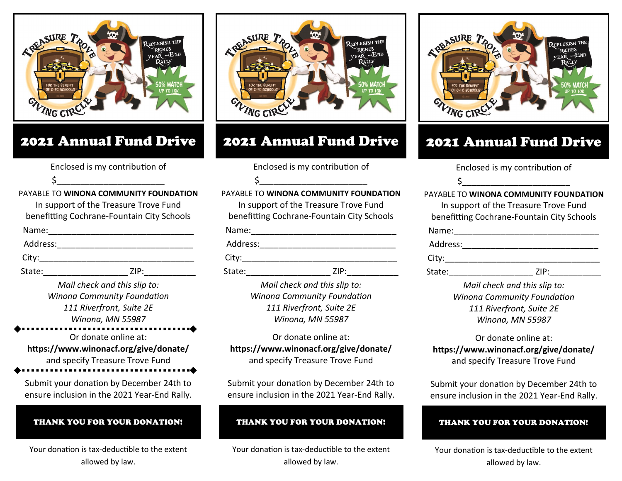

## 2021 Annual Fund Drive

Enclosed is my contribution of

\$\_\_\_\_\_\_\_\_\_\_\_\_\_\_\_\_\_\_\_\_\_\_\_

PAYABLE TO **WINONA COMMUNITY FOUNDATION** In support of the Treasure Trove Fund benefitting Cochrane-Fountain City Schools

| Name:         |  |  |
|---------------|--|--|
| Address:      |  |  |
| $\sim$ $\sim$ |  |  |

City:\_\_\_\_\_\_\_\_\_\_\_\_\_\_\_\_\_\_\_\_\_\_\_\_\_\_\_\_\_\_\_\_\_ State:\_\_\_\_\_\_\_\_\_\_\_\_\_\_\_\_\_\_ ZIP:\_\_\_\_\_\_\_\_\_\_\_

> *Mail check and this slip to: Winona Community Foundation 111 Riverfront, Suite 2E*

*Winona, MN 55987*

Or donate online at: **https://www.winonacf.org/give/donate/** and specify Treasure Trove Fund

Submit your donation by December 24th to ensure inclusion in the 2021 Year-End Rally.

#### THANK YOU FOR YOUR DONATION!

Your donation is tax-deductible to the extent allowed by law.



## 2021 Annual Fund Drive

Enclosed is my contribution of \$\_\_\_\_\_\_\_\_\_\_\_\_\_\_\_\_\_\_\_\_\_\_\_

PAYABLE TO **WINONA COMMUNITY FOUNDATION** In support of the Treasure Trove Fund benefitting Cochrane-Fountain City Schools

| Name:    |      |  |
|----------|------|--|
| Address: |      |  |
| City:    |      |  |
| State:   | 7IP: |  |

*Mail check and this slip to: Winona Community Foundation 111 Riverfront, Suite 2E Winona, MN 55987*

Or donate online at: **https://www.winonacf.org/give/donate/** and specify Treasure Trove Fund

Submit your donation by December 24th to ensure inclusion in the 2021 Year-End Rally.

### THANK YOU FOR YOUR DONATION!

Your donation is tax-deductible to the extent allowed by law.



# 2021 Annual Fund Drive

Enclosed is my contribution of

\$\_\_\_\_\_\_\_\_\_\_\_\_\_\_\_\_\_\_\_\_\_\_\_

PAYABLE TO **WINONA COMMUNITY FOUNDATION** In support of the Treasure Trove Fund

benefitting Cochrane-Fountain City Schools

| Name:    |      |
|----------|------|
| Address: |      |
| City:    |      |
| State:   | 7IP: |

*Mail check and this slip to: Winona Community Foundation 111 Riverfront, Suite 2E Winona, MN 55987*

Or donate online at: **https://www.winonacf.org/give/donate/** and specify Treasure Trove Fund

Submit your donation by December 24th to ensure inclusion in the 2021 Year-End Rally.

#### THANK YOU FOR YOUR DONATION!

Your donation is tax-deductible to the extent allowed by law.